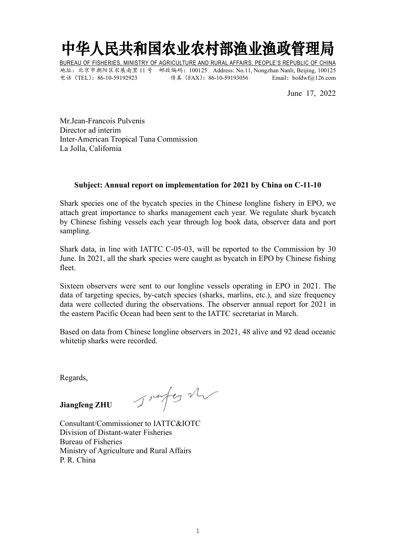## 中华人民共和国农业农村部渔业渔政管理局

BUREAU OF FISHERIES, MINISTRY OF AGRICULTURE AND RURAL AFFAIRS, PEOPLE'S REPUBLIC OF CHINA 地址:北京市朝阳区农展南里 11 号 邮政编码:100125 Address: No.11, Nongzhan Nanli, Beijing, 100125 电话(TEL):86-10-59192923 传真(FAX):86-10-59193056 Email:bofdwf@126.com

June 17, 2022

Mr.Jean-Francois Pulvenis Director ad interim Inter-American Tropical Tuna Commission La Jolla, California

## **Subject: Annual report on implementation for 2021 by China on C-11-10**

Shark species one of the bycatch species in the Chinese longline fishery in EPO, we attach great importance to sharks management each year. We regulate shark bycatch by Chinese fishing vessels each year through log book data, observer data and port sampling.

Shark data, in line with IATTC C-05-03, will be reported to the Commission by 30 June. In 2021, all the shark species were caught as bycatch in EPO by Chinese fishing fleet.

Sixteen observers were sent to our longline vessels operating in EPO in 2021. The data of targeting species, by-catch species (sharks, marlins, etc.), and size frequency data were collected during the observations. The observer annual report for 2021 in the eastern Pacific Ocean had been sent to the IATTC secretariat in March.

Based on data from Chinese longline observers in 2021, 48 alive and 92 dead oceanic whitetip sharks were recorded.

Regards,

**Jiangfeng ZHU**

Consultant/Commissioner to IATTC&IOTC Division of Distant-water Fisheries Bureau of Fisheries Ministry of Agriculture and Rural Affairs P. R. China